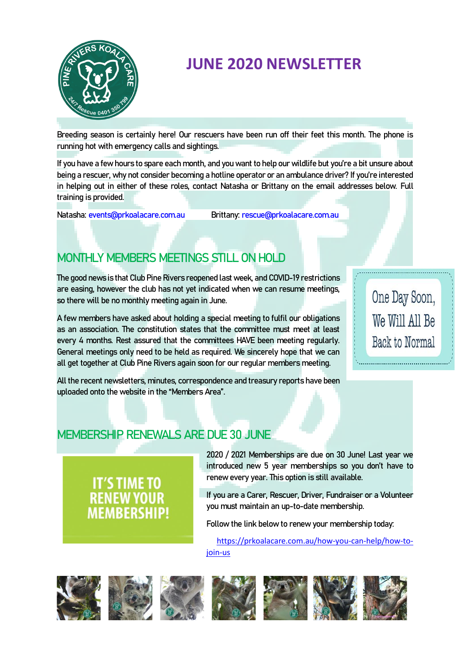

# **JUNE 2020 NEWSLETTER**

Breeding season is certainly here! Our rescuers have been run off their feet this month. The phone is running hot with emergency calls and sightings.

If you have a few hours to spare each month, and you want to help our wildlife but you're a bit unsure about being a rescuer, why not consider becoming a hotline operator or an ambulance driver? If you're interested in helping out in either of these roles, contact Natasha or Brittany on the email addresses below. Full training is provided.

Natasha: [events@prkoalacare.com.au](mailto:events@prkoalacare.com.au) Brittany: [rescue@prkoalacare.com.au](mailto:rescue@prkoalacare.com.au)

### MONTHLY MEMBERS MEETINGS STILL ON HOLD

The good news is that Club Pine Rivers reopened last week, and COVID-19 restrictions are easing, however the club has not yet indicated when we can resume meetings, so there will be no monthly meeting again in June.

A few members have asked about holding a special meeting to fulfil our obligations as an association. The constitution states that the committee must meet at least every 4 months. Rest assured that the committees HAVE been meeting regularly. General meetings only need to be held as required. We sincerely hope that we can all get together at Club Pine Rivers again soon for our regular members meeting.

One Day Soon, We Will All Be Back to Normal

All the recent newsletters, minutes, correspondence and treasury reports have been uploaded onto the website in the "Members Area".

### MEMBERSHIP RENEWALS ARE DUE 30 JUNE

**MEMBERSHIP!** 

2020 / 2021 Memberships are due on 30 June! Last year we introduced new 5 year memberships so you don't have to renew every year. This option is still available.

If you are a Carer, Rescuer, Driver, Fundraiser or a Volunteer you must maintain an up-to-date membership.

Follow the link below to renew your membership today:

[https://prkoalacare.com.au/how-you-can-help/how-to](https://prkoalacare.com.au/how-you-can-help/how-to-join-us)[join-us](https://prkoalacare.com.au/how-you-can-help/how-to-join-us)

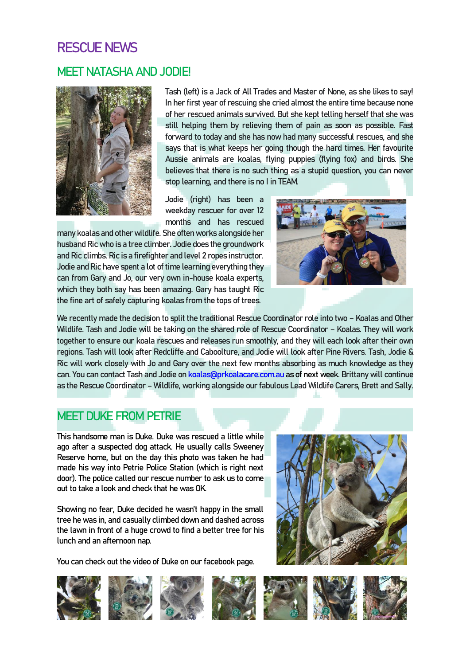### RESCUE NEWS

#### MEET NATASHA AND JODIE!



Tash (left) is a Jack of All Trades and Master of None, as she likes to say! In her first year of rescuing she cried almost the entire time because none of her rescued animals survived. But she kept telling herself that she was still helping them by relieving them of pain as soon as possible. Fast forward to today and she has now had many successful rescues, and she says that is what keeps her going though the hard times. Her favourite Aussie animals are koalas, flying puppies (flying fox) and birds. She believes that there is no such thing as a stupid question, you can never stop learning, and there is no I in TEAM.

Jodie (right) has been a weekday rescuer for over 12 months and has rescued

many koalas and other wildlife. She often works alongside her husband Ric who is a tree climber. Jodie does the groundwork and Ric climbs. Ric is a firefighter and level 2 ropes instructor. Jodie and Ric have spent a lot of time learning everything they can from Gary and Jo, our very own in-house koala experts, which they both say has been amazing. Gary has taught Ric the fine art of safely capturing koalas from the tops of trees.



We recently made the decision to split the traditional Rescue Coordinator role into two - Koalas and Other Wildlife. Tash and Jodie will be taking on the shared role of Rescue Coordinator – Koalas. They will work together to ensure our koala rescues and releases run smoothly, and they will each look after their own regions. Tash will look after Redcliffe and Caboolture, and Jodie will look after Pine Rivers. Tash, Jodie & Ric will work closely with Jo and Gary over the next few months absorbing as much knowledge as they can. You can contact Tash and Jodie o[n koalas@prkoalacare.com.au](mailto:koalas@prkoalacare.com.au) as of next week. Brittany will continue as the Rescue Coordinator – Wildlife, working alongside our fabulous Lead Wildlife Carers, Brett and Sally.

### MEET DUKE FROM PETRIE

This handsome man is Duke. Duke was rescued a little while ago after a suspected dog attack. He usually calls Sweeney Reserve home, but on the day this photo was taken he had made his way into Petrie Police Station (which is right next door). The police called our rescue number to ask us to come out to take a look and check that he was OK.

Showing no fear, Duke decided he wasn't happy in the small tree he was in, and casually climbed down and dashed across the lawn in front of a huge crowd to find a better tree for his lunch and an afternoon nap.

You can check out the video of Duke on our facebook page.



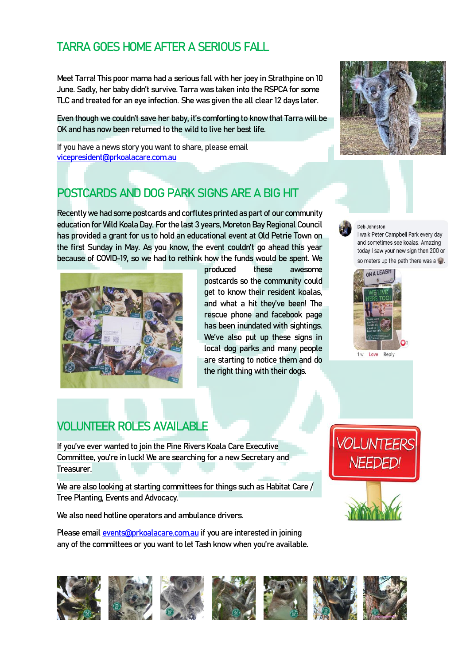### TARRA GOES HOME AFTER A SERIOUS FALL

Meet Tarra! This poor mama had a serious fall with her joey in Strathpine on 10 June. Sadly, her baby didn't survive. Tarra was taken into the RSPCA for some TLC and treated for an eye infection. She was given the all clear 12 days later.

Even though we couldn't save her baby, it's comforting to know that Tarra will be OK and has now been returned to the wild to live her best life.

If you have a news story you want to share, please email [vicepresident@prkoalacare.com.au](mailto:vicepresident@prkoalacare.com.au)



### POSTCARDS AND DOG PARK SIGNS ARE A BIG HIT

Recently we had some postcards and corflutes printed as part of our community education for Wild Koala Day. For the last 3 years, Moreton Bay Regional Council has provided a grant for us to hold an educational event at Old Petrie Town on the first Sunday in May. As you know, the event couldn't go ahead this year because of COVID-19, so we had to rethink how the funds would be spent. We



produced these awesome postcards so the community could get to know their resident koalas, and what a hit they've been! The rescue phone and facebook page has been inundated with sightings. We've also put up these signs in local dog parks and many people are starting to notice them and do the right thing with their dogs.

Deb Johnston

I walk Peter Campbell Park every day and sometimes see koalas. Amazing today I saw your new sign then 200 or so meters up the path there was a w.



### VOLUNTEER ROLES AVAILABLE

If you've ever wanted to join the Pine Rivers Koala Care Executive Committee, you're in luck! We are searching for a new Secretary and Treasurer.

We are also looking at starting committees for things such as Habitat Care / Tree Planting, Events and Advocacy.

We also need hotline operators and ambulance drivers.

Please email **events** @prkoalacare.com.au if you are interested in joining any of the committees or you want to let Tash know when you're available.



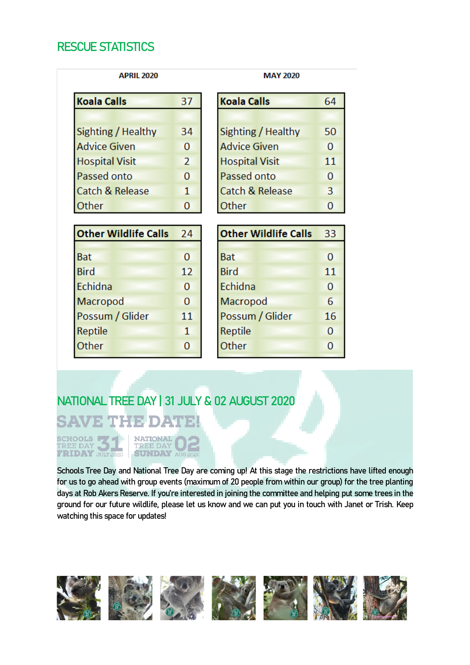#### RESCUE STATISTICS

#### **APRIL 2020**

| <b>Koala Calls</b>         | 37 |
|----------------------------|----|
|                            |    |
| Sighting / Healthy         | 34 |
| <b>Advice Given</b>        | 0  |
| <b>Hospital Visit</b>      | 2  |
| Passed onto                | 0  |
| <b>Catch &amp; Release</b> | 1  |
| Other                      |    |

| <b>Other Wildlife Calls</b> | 24 |
|-----------------------------|----|
|                             |    |
| Bat                         | 0  |
| <b>Bird</b>                 | 12 |
| Echidna                     | 0  |
| Macropod                    | 0  |
| Possum / Glider             | 11 |
| Reptile                     | 1  |
| Other                       | O  |
|                             |    |

| <b>Koala Calls</b>         |    |
|----------------------------|----|
|                            |    |
| Sighting / Healthy         | 50 |
| <b>Advice Given</b>        | O  |
| <b>Hospital Visit</b>      | 11 |
| Passed onto                | O  |
| <b>Catch &amp; Release</b> | 3  |
| Other                      |    |

| <b>Other Wildlife Calls</b> | 33 |
|-----------------------------|----|
|                             |    |
| <b>Bat</b>                  | 0  |
| <b>Bird</b>                 | 11 |
| Echidna                     | O  |
| Macropod                    | 6  |
| Possum / Glider             | 16 |
| <b>Reptile</b>              | Ω  |
| Other                       |    |
|                             |    |

## NATIONAL TREE DAY | 31 JULY & 02 AUGUST 2020 **SAVE THE DATE**

SCHOOLS F **NATIONAL TREE DAY** FRIDAY JULY 2020 **SUNDAY AUG** 

Schools Tree Day and National Tree Day are coming up! At this stage the restrictions have lifted enough for us to go ahead with group events (maximum of 20 people from within our group) for the tree planting days at Rob Akers Reserve. If you're interested in joining the committee and helping put some trees in the ground for our future wildlife, please let us know and we can put you in touch with Janet or Trish. Keep watching this space for updates!

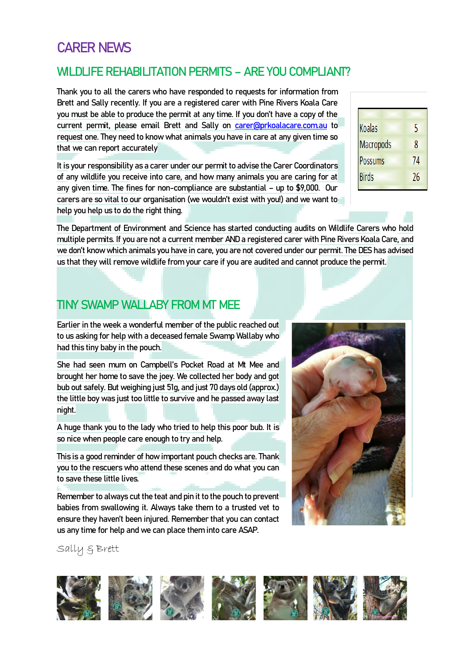### CARER NEWS

#### WILDLIFE REHABILITATION PERMITS – ARE YOU COMPLIANT?

Thank you to all the carers who have responded to requests for information from Brett and Sally recently. If you are a registered carer with Pine Rivers Koala Care you must be able to produce the permit at any time. If you don't have a copy of the current permit, please email Brett and Sally on [carer@prkoalacare.com.au](mailto:carer@prkoalacare.com.au) to request one. They need to know what animals you have in care at any given time so that we can report accurately

It is your responsibility as a carer under our permit to advise the Carer Coordinators of any wildlife you receive into care, and how many animals you are caring for at any given time. The fines for non-compliance are substantial – up to \$9,000. Our carers are so vital to our organisation (we wouldn't exist with you!) and we want to help you help us to do the right thing.

| Koalas    | 5  |
|-----------|----|
| Macropods | 8  |
| Possums   | 74 |
| Birds     | 26 |

The Department of Environment and Science has started conducting audits on Wildlife Carers who hold multiple permits. If you are not a current member AND a registered carer with Pine Rivers Koala Care, and we don't know which animals you have in care, you are not covered under our permit. The DES has advised us that they will remove wildlife from your care if you are audited and cannot produce the permit.

#### TINY SWAMP WALL ARY FROM MT MFF

Earlier in the week a wonderful member of the public reached out to us asking for help with a deceased female Swamp Wallaby who had this tiny baby in the pouch.

She had seen mum on Campbell's Pocket Road at Mt Mee and brought her home to save the joey. We collected her body and got bub out safely. But weighing just 51g, and just 70 days old (approx.) the little boy was just too little to survive and he passed away last night.

A huge thank you to the lady who tried to help this poor bub. It is so nice when people care enough to try and help.

This is a good reminder of how important pouch checks are. Thank you to the rescuers who attend these scenes and do what you can to save these little lives.

Remember to always cut the teat and pin it to the pouch to prevent babies from swallowing it. Always take them to a trusted vet to ensure they haven't been injured. Remember that you can contact us any time for help and we can place them into care ASAP.



Sally & Brett